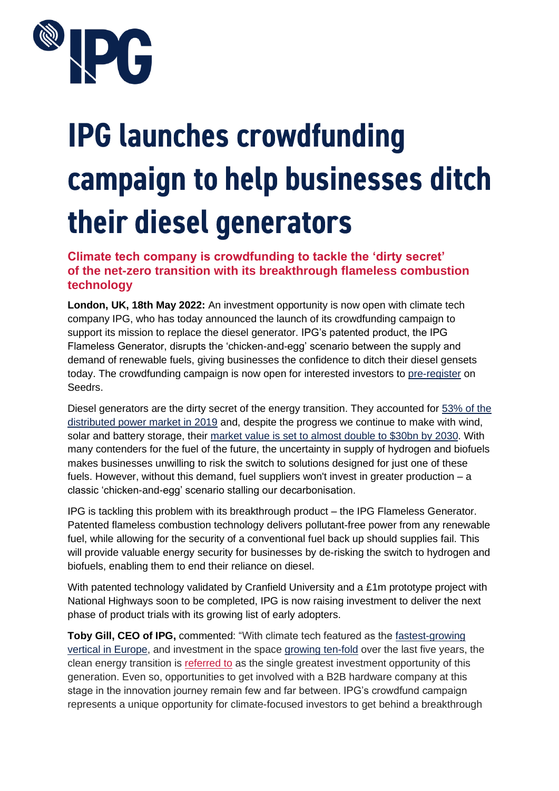

# **IPG launches crowdfunding** campaign to help businesses ditch their diesel generators

**Climate tech company is crowdfunding to tackle the 'dirty secret' of the net-zero transition with its breakthrough flameless combustion technology** 

**London, UK, 18th May 2022:** An investment opportunity is now open with climate tech company IPG, who has today announced the launch of its crowdfunding campaign to support its mission to replace the diesel generator. IPG's patented product, the IPG Flameless Generator, disrupts the 'chicken-and-egg' scenario between the supply and demand of renewable fuels, giving businesses the confidence to ditch their diesel gensets today. The crowdfunding campaign is now open for interested investors to [pre-register](https://www.seedrs.com/ipg/coming-soon) on Seedrs.

Diesel generators are the dirty secret of the energy transition. They accounted for [53% of the](https://www.mordorintelligence.com/industry-reports/distributed-power-generation-market)  [distributed power market in 2019](https://www.mordorintelligence.com/industry-reports/distributed-power-generation-market) and, despite the progress we continue to make with wind, solar and battery storage, their market value is set to almost [double to \\$30bn by 2030.](https://www.researchnester.com/reports/diesel-genset-market/3539) With many contenders for the fuel of the future, the uncertainty in supply of hydrogen and biofuels makes businesses unwilling to risk the switch to solutions designed for just one of these fuels. However, without this demand, fuel suppliers won't invest in greater production – a classic 'chicken-and-egg' scenario stalling our decarbonisation.

IPG is tackling this problem with its breakthrough product – the IPG Flameless Generator. Patented flameless combustion technology delivers pollutant-free power from any renewable fuel, while allowing for the security of a conventional fuel back up should supplies fail. This will provide valuable energy security for businesses by de-risking the switch to hydrogen and biofuels, enabling them to end their reliance on diesel.

With patented technology validated by Cranfield University and a £1m prototype project with National Highways soon to be completed, IPG is now raising investment to deliver the next phase of product trials with its growing list of early adopters.

**Toby Gill, CEO of IPG,** commented: "With climate tech featured as the [fastest-growing](https://www.uktech.news/climate-tech/climate-tech-fastest-growing-20220407)  [vertical in Europe,](https://www.uktech.news/climate-tech/climate-tech-fastest-growing-20220407) and investment in the space [growing ten-fold](https://www.uktech.news/climate-tech/climate-tech-fastest-growing-20220407) over the last five years, the clean energy transition is [referred to](https://www.greenbiz.com/article/putting-cleantech-innovations-test) as the single greatest investment opportunity of this generation. Even so, opportunities to get involved with a B2B hardware company at this stage in the innovation journey remain few and far between. IPG's crowdfund campaign represents a unique opportunity for climate-focused investors to get behind a breakthrough